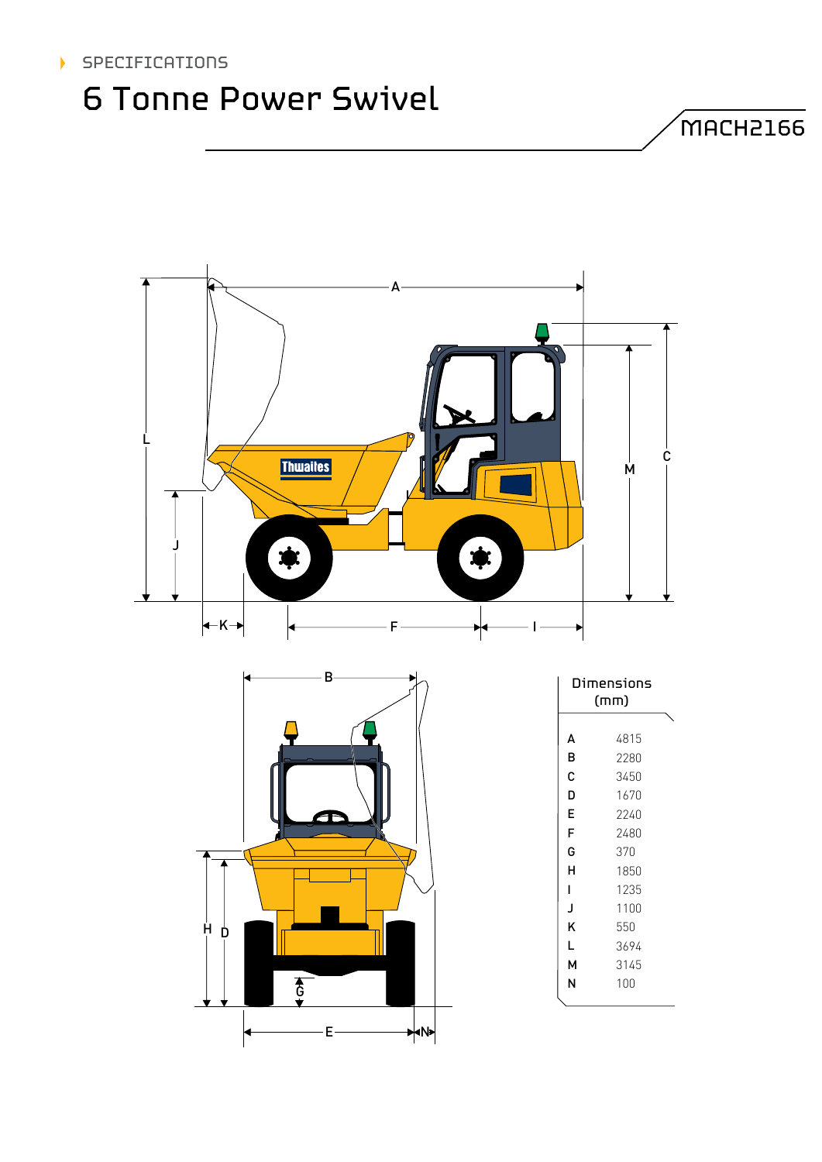#### **SPECIFICATIONS**  $\blacktriangleright$

## 6 Tonne Power Swivel

 $M$ ACH2166